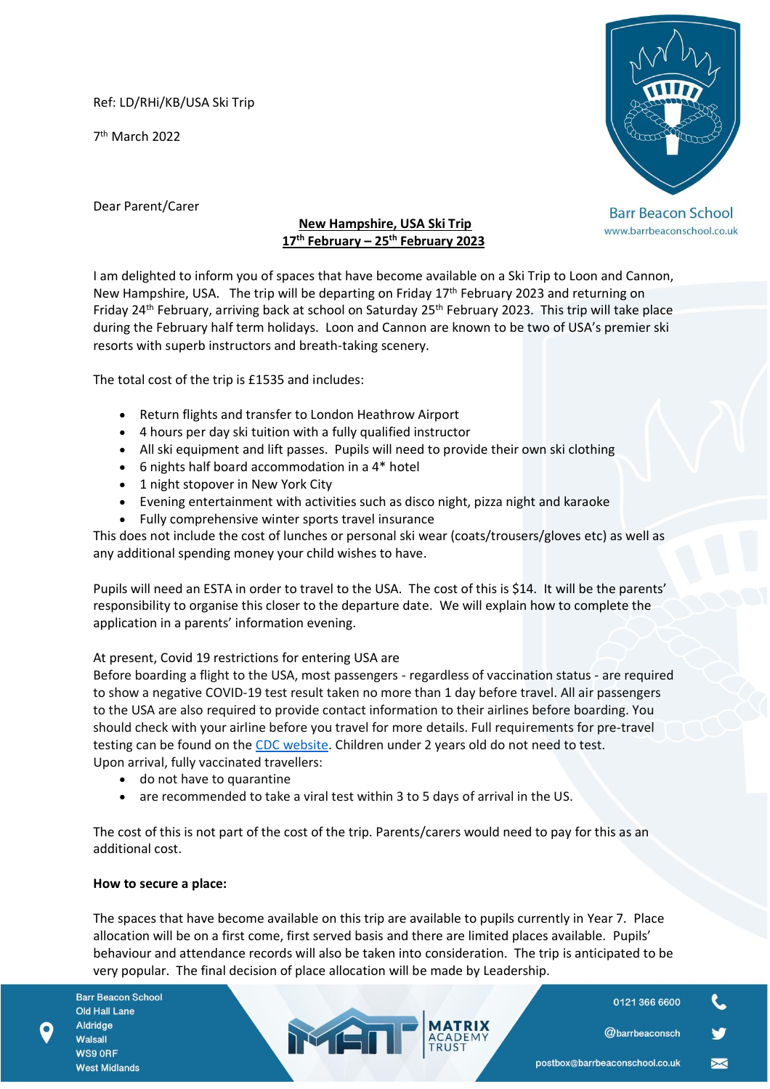Ref: LD/RHi/KB/USA Ski Trip

7 th March 2022



**Barr Beacon School** www.barrbeaconschool.co.uk

Dear Parent/Carer

# **New Hampshire, USA Ski Trip 17th February – 25th February 2023**

I am delighted to inform you of spaces that have become available on a Ski Trip to Loon and Cannon, New Hampshire, USA. The trip will be departing on Friday 17<sup>th</sup> February 2023 and returning on Friday 24<sup>th</sup> February, arriving back at school on Saturday 25<sup>th</sup> February 2023. This trip will take place during the February half term holidays. Loon and Cannon are known to be two of USA's premier ski resorts with superb instructors and breath-taking scenery.

The total cost of the trip is £1535 and includes:

- Return flights and transfer to London Heathrow Airport
- 4 hours per day ski tuition with a fully qualified instructor
- All ski equipment and lift passes. Pupils will need to provide their own ski clothing
- 6 nights half board accommodation in a 4\* hotel
- 1 night stopover in New York City
- Evening entertainment with activities such as disco night, pizza night and karaoke
- Fully comprehensive winter sports travel insurance

This does not include the cost of lunches or personal ski wear (coats/trousers/gloves etc) as well as any additional spending money your child wishes to have.

Pupils will need an ESTA in order to travel to the USA. The cost of this is \$14. It will be the parents' responsibility to organise this closer to the departure date. We will explain how to complete the application in a parents' information evening.

## At present, Covid 19 restrictions for entering USA are

Before boarding a flight to the USA, most passengers - regardless of vaccination status - are required to show a negative COVID-19 test result taken no more than 1 day before travel. All air passengers to the USA are also required to provide contact information to their airlines before boarding. You should check with your airline before you travel for more details. Full requirements for pre-travel testing can be found on the [CDC website.](https://www.cdc.gov/coronavirus/2019-ncov/travelers/noncitizens-US-air-travel.html) Children under 2 years old do not need to test. Upon arrival, fully vaccinated travellers:

- do not have to quarantine
- are recommended to take a viral test within 3 to 5 days of arrival in the US.

MEN

The cost of this is not part of the cost of the trip. Parents/carers would need to pay for this as an additional cost.

## **How to secure a place:**

The spaces that have become available on this trip are available to pupils currently in Year 7. Place allocation will be on a first come, first served basis and there are limited places available. Pupils' behaviour and attendance records will also be taken into consideration. The trip is anticipated to be very popular. The final decision of place allocation will be made by Leadership.

**Barr Beacon School Old Hall Lane** Aldridge Walsall WS9 ORF **West Midlands** 

0121 366 6600

**@barrbeaconsch**